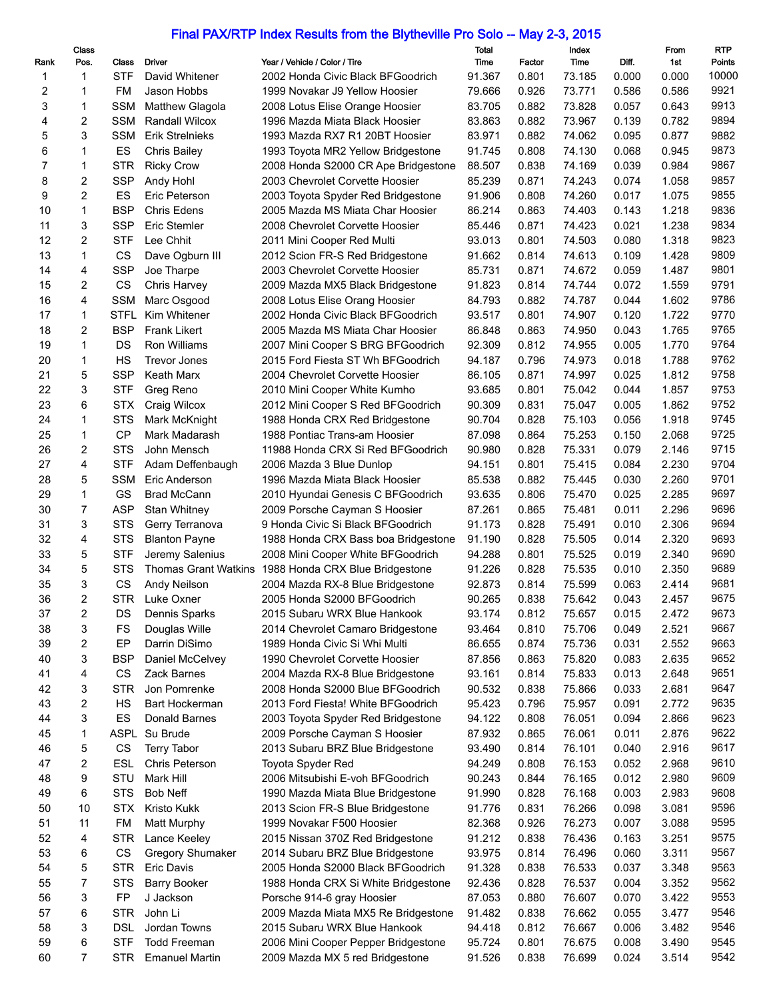## Final PAX/RTP Index Results from the Blytheville Pro Solo -- May 2-3, 2015

|          | Class                   |             |                         |                                                      | Total  |        | Index  |       | From  | <b>RTP</b> |
|----------|-------------------------|-------------|-------------------------|------------------------------------------------------|--------|--------|--------|-------|-------|------------|
| Rank     | Pos.                    | Class       | Driver                  | Year / Vehicle / Color / Tire                        | Time   | Factor | Time   | Diff. | 1st   | Points     |
| 1        | 1                       | STF         | David Whitener          | 2002 Honda Civic Black BFGoodrich                    | 91.367 | 0.801  | 73.185 | 0.000 | 0.000 | 10000      |
| 2        | 1                       | FM          | Jason Hobbs             | 1999 Novakar J9 Yellow Hoosier                       | 79.666 | 0.926  | 73.771 | 0.586 | 0.586 | 9921       |
| 3        | 1                       | <b>SSM</b>  | <b>Matthew Glagola</b>  | 2008 Lotus Elise Orange Hoosier                      | 83.705 | 0.882  | 73.828 | 0.057 | 0.643 | 9913       |
| 4        | $\overline{c}$          | <b>SSM</b>  | <b>Randall Wilcox</b>   | 1996 Mazda Miata Black Hoosier                       | 83.863 | 0.882  | 73.967 | 0.139 | 0.782 | 9894       |
| 5        | 3                       | <b>SSM</b>  | Erik Strelnieks         | 1993 Mazda RX7 R1 20BT Hoosier                       | 83.971 | 0.882  | 74.062 | 0.095 | 0.877 | 9882       |
| 6        | 1                       | ES          | <b>Chris Bailey</b>     | 1993 Toyota MR2 Yellow Bridgestone                   | 91.745 | 0.808  | 74.130 | 0.068 | 0.945 | 9873       |
| 7        | 1                       | <b>STR</b>  | <b>Ricky Crow</b>       | 2008 Honda S2000 CR Ape Bridgestone                  | 88.507 | 0.838  | 74.169 | 0.039 | 0.984 | 9867       |
| 8        | 2                       | <b>SSP</b>  | Andy Hohl               | 2003 Chevrolet Corvette Hoosier                      | 85.239 | 0.871  | 74.243 | 0.074 | 1.058 | 9857       |
| 9        | $\overline{c}$          | ES          | Eric Peterson           | 2003 Toyota Spyder Red Bridgestone                   | 91.906 | 0.808  | 74.260 | 0.017 | 1.075 | 9855       |
| 10       | 1                       | <b>BSP</b>  | Chris Edens             | 2005 Mazda MS Miata Char Hoosier                     | 86.214 | 0.863  | 74.403 | 0.143 | 1.218 | 9836       |
| 11       | 3                       | <b>SSP</b>  | Eric Stemler            | 2008 Chevrolet Corvette Hoosier                      | 85.446 | 0.871  | 74.423 | 0.021 | 1.238 | 9834       |
| 12       | $\overline{2}$          | <b>STF</b>  | Lee Chhit               | 2011 Mini Cooper Red Multi                           | 93.013 | 0.801  | 74.503 | 0.080 | 1.318 | 9823       |
| 13       | 1                       | <b>CS</b>   | Dave Ogburn III         | 2012 Scion FR-S Red Bridgestone                      | 91.662 | 0.814  | 74.613 | 0.109 | 1.428 | 9809       |
| 14       | 4                       | <b>SSP</b>  | Joe Tharpe              | 2003 Chevrolet Corvette Hoosier                      | 85.731 | 0.871  | 74.672 | 0.059 | 1.487 | 9801       |
| 15       | 2                       | CS          | Chris Harvey            | 2009 Mazda MX5 Black Bridgestone                     | 91.823 | 0.814  | 74.744 | 0.072 | 1.559 | 9791       |
| 16       | 4                       | <b>SSM</b>  | Marc Osgood             | 2008 Lotus Elise Orang Hoosier                       | 84.793 | 0.882  | 74.787 | 0.044 | 1.602 | 9786       |
| 17       | 1                       | <b>STFL</b> | Kim Whitener            | 2002 Honda Civic Black BFGoodrich                    | 93.517 | 0.801  | 74.907 | 0.120 | 1.722 | 9770       |
| 18       | $\overline{2}$          | <b>BSP</b>  | <b>Frank Likert</b>     | 2005 Mazda MS Miata Char Hoosier                     | 86.848 | 0.863  | 74.950 | 0.043 | 1.765 | 9765       |
| 19       | $\mathbf{1}$            | DS          | Ron Williams            | 2007 Mini Cooper S BRG BFGoodrich                    | 92.309 | 0.812  | 74.955 | 0.005 | 1.770 | 9764       |
| 20       | 1                       | НS          | <b>Trevor Jones</b>     | 2015 Ford Fiesta ST Wh BFGoodrich                    | 94.187 | 0.796  | 74.973 | 0.018 | 1.788 | 9762       |
| 21       | 5                       | <b>SSP</b>  | Keath Marx              | 2004 Chevrolet Corvette Hoosier                      | 86.105 | 0.871  | 74.997 | 0.025 | 1.812 | 9758       |
| 22       | 3                       | <b>STF</b>  |                         |                                                      | 93.685 |        | 75.042 |       | 1.857 | 9753       |
| 23       | 6                       | <b>STX</b>  | Greg Reno               | 2010 Mini Cooper White Kumho                         | 90.309 | 0.801  | 75.047 | 0.044 | 1.862 | 9752       |
|          |                         |             | Craig Wilcox            | 2012 Mini Cooper S Red BFGoodrich                    |        | 0.831  |        | 0.005 |       |            |
| 24       | 1                       | <b>STS</b>  | Mark McKnight           | 1988 Honda CRX Red Bridgestone                       | 90.704 | 0.828  | 75.103 | 0.056 | 1.918 | 9745       |
| 25       | 1                       | СP          | Mark Madarash           | 1988 Pontiac Trans-am Hoosier                        | 87.098 | 0.864  | 75.253 | 0.150 | 2.068 | 9725       |
| 26       | 2                       | <b>STS</b>  | John Mensch             | 11988 Honda CRX Si Red BFGoodrich                    | 90.980 | 0.828  | 75.331 | 0.079 | 2.146 | 9715       |
| 27       | 4                       | <b>STF</b>  | Adam Deffenbaugh        | 2006 Mazda 3 Blue Dunlop                             | 94.151 | 0.801  | 75.415 | 0.084 | 2.230 | 9704       |
| 28       | 5                       | SSM         | Eric Anderson           | 1996 Mazda Miata Black Hoosier                       | 85.538 | 0.882  | 75.445 | 0.030 | 2.260 | 9701       |
| 29       | 1                       | GS          | <b>Brad McCann</b>      | 2010 Hyundai Genesis C BFGoodrich                    | 93.635 | 0.806  | 75.470 | 0.025 | 2.285 | 9697       |
| 30       | 7                       | <b>ASP</b>  | <b>Stan Whitney</b>     | 2009 Porsche Cayman S Hoosier                        | 87.261 | 0.865  | 75.481 | 0.011 | 2.296 | 9696       |
| 31       | 3                       | <b>STS</b>  | Gerry Terranova         | 9 Honda Civic Si Black BFGoodrich                    | 91.173 | 0.828  | 75.491 | 0.010 | 2.306 | 9694       |
| 32       | 4                       | <b>STS</b>  | <b>Blanton Payne</b>    | 1988 Honda CRX Bass boa Bridgestone                  | 91.190 | 0.828  | 75.505 | 0.014 | 2.320 | 9693       |
| 33       | 5                       | <b>STF</b>  | Jeremy Salenius         | 2008 Mini Cooper White BFGoodrich                    | 94.288 | 0.801  | 75.525 | 0.019 | 2.340 | 9690       |
| 34       | 5                       | <b>STS</b>  |                         | Thomas Grant Watkins 1988 Honda CRX Blue Bridgestone | 91.226 | 0.828  | 75.535 | 0.010 | 2.350 | 9689       |
| 35       | 3                       | CS          | Andy Neilson            | 2004 Mazda RX-8 Blue Bridgestone                     | 92.873 | 0.814  | 75.599 | 0.063 | 2.414 | 9681       |
| 36       | 2                       | <b>STR</b>  | Luke Oxner              | 2005 Honda S2000 BFGoodrich                          | 90.265 | 0.838  | 75.642 | 0.043 | 2.457 | 9675       |
| 37       | $\overline{\mathbf{c}}$ | DS          | Dennis Sparks           | 2015 Subaru WRX Blue Hankook                         | 93.174 | 0.812  | 75.657 | 0.015 | 2.472 | 9673       |
| 38       | 3                       | FS          | Douglas Wille           | 2014 Chevrolet Camaro Bridgestone                    | 93.464 | 0.810  | 75.706 | 0.049 | 2.521 | 9667       |
| 39       | $\overline{c}$          | EP          | Darrin DiSimo           | 1989 Honda Civic Si Whi Multi                        | 86.655 | 0.874  | 75.736 | 0.031 | 2.552 | 9663       |
| 40       | 3                       | <b>BSP</b>  | Daniel McCelvey         | 1990 Chevrolet Corvette Hoosier                      | 87.856 | 0.863  | 75.820 | 0.083 | 2.635 | 9652       |
| 41       | 4                       | CS          | Zack Barnes             | 2004 Mazda RX-8 Blue Bridgestone                     | 93.161 | 0.814  | 75.833 | 0.013 | 2.648 | 9651       |
| 42       | 3                       | <b>STR</b>  | Jon Pomrenke            | 2008 Honda S2000 Blue BFGoodrich                     | 90.532 | 0.838  | 75.866 | 0.033 | 2.681 | 9647       |
| 43       | 2                       | HS          | Bart Hockerman          | 2013 Ford Fiesta! White BFGoodrich                   | 95.423 | 0.796  | 75.957 | 0.091 | 2.772 | 9635       |
| 44       | 3                       | ES          | Donald Barnes           | 2003 Toyota Spyder Red Bridgestone                   | 94.122 | 0.808  | 76.051 | 0.094 | 2.866 | 9623       |
| 45       | 1                       |             | ASPL Su Brude           | 2009 Porsche Cayman S Hoosier                        | 87.932 | 0.865  | 76.061 | 0.011 | 2.876 | 9622       |
| 46       | 5                       | CS          | <b>Terry Tabor</b>      | 2013 Subaru BRZ Blue Bridgestone                     | 93.490 | 0.814  | 76.101 | 0.040 | 2.916 | 9617       |
|          |                         | <b>ESL</b>  |                         |                                                      |        |        | 76.153 | 0.052 |       | 9610       |
| 47<br>48 | 2<br>9                  | STU         | Chris Peterson          | Toyota Spyder Red                                    | 94.249 | 0.808  | 76.165 |       | 2.968 | 9609       |
|          |                         |             | Mark Hill               | 2006 Mitsubishi E-voh BFGoodrich                     | 90.243 | 0.844  |        | 0.012 | 2.980 |            |
| 49       | 6                       | <b>STS</b>  | Bob Neff                | 1990 Mazda Miata Blue Bridgestone                    | 91.990 | 0.828  | 76.168 | 0.003 | 2.983 | 9608       |
| 50       | 10                      | <b>STX</b>  | Kristo Kukk             | 2013 Scion FR-S Blue Bridgestone                     | 91.776 | 0.831  | 76.266 | 0.098 | 3.081 | 9596       |
| 51       | 11                      | FM          | Matt Murphy             | 1999 Novakar F500 Hoosier                            | 82.368 | 0.926  | 76.273 | 0.007 | 3.088 | 9595       |
| 52       | 4                       | <b>STR</b>  | Lance Keeley            | 2015 Nissan 370Z Red Bridgestone                     | 91.212 | 0.838  | 76.436 | 0.163 | 3.251 | 9575       |
| 53       | 6                       | CS          | <b>Gregory Shumaker</b> | 2014 Subaru BRZ Blue Bridgestone                     | 93.975 | 0.814  | 76.496 | 0.060 | 3.311 | 9567       |
| 54       | 5                       | <b>STR</b>  | <b>Eric Davis</b>       | 2005 Honda S2000 Black BFGoodrich                    | 91.328 | 0.838  | 76.533 | 0.037 | 3.348 | 9563       |
| 55       | $\overline{7}$          | <b>STS</b>  | <b>Barry Booker</b>     | 1988 Honda CRX Si White Bridgestone                  | 92.436 | 0.828  | 76.537 | 0.004 | 3.352 | 9562       |
| 56       | 3                       | <b>FP</b>   | J Jackson               | Porsche 914-6 gray Hoosier                           | 87.053 | 0.880  | 76.607 | 0.070 | 3.422 | 9553       |
| 57       | 6                       | <b>STR</b>  | John Li                 | 2009 Mazda Miata MX5 Re Bridgestone                  | 91.482 | 0.838  | 76.662 | 0.055 | 3.477 | 9546       |
| 58       | 3                       | <b>DSL</b>  | Jordan Towns            | 2015 Subaru WRX Blue Hankook                         | 94.418 | 0.812  | 76.667 | 0.006 | 3.482 | 9546       |
| 59       | 6                       | <b>STF</b>  | <b>Todd Freeman</b>     | 2006 Mini Cooper Pepper Bridgestone                  | 95.724 | 0.801  | 76.675 | 0.008 | 3.490 | 9545       |
| 60       | 7                       | <b>STR</b>  | <b>Emanuel Martin</b>   | 2009 Mazda MX 5 red Bridgestone                      | 91.526 | 0.838  | 76.699 | 0.024 | 3.514 | 9542       |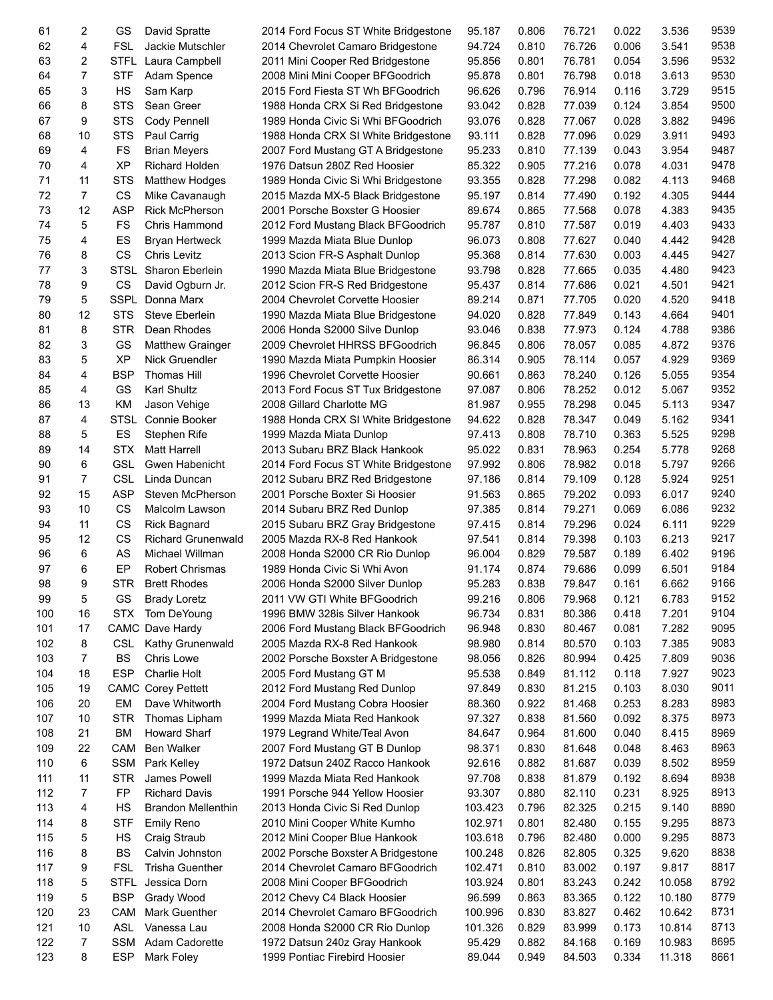| 61  | 2              | GS          | David Spratte             | 2014 Ford Focus ST White Bridgestone | 95.187  | 0.806 | 76.721 | 0.022 | 3.536  | 9539 |
|-----|----------------|-------------|---------------------------|--------------------------------------|---------|-------|--------|-------|--------|------|
| 62  | 4              | <b>FSL</b>  | Jackie Mutschler          | 2014 Chevrolet Camaro Bridgestone    | 94.724  | 0.810 | 76.726 | 0.006 | 3.541  | 9538 |
| 63  | 2              | <b>STFL</b> | Laura Campbell            | 2011 Mini Cooper Red Bridgestone     | 95.856  | 0.801 | 76.781 | 0.054 | 3.596  | 9532 |
| 64  | $\overline{7}$ | <b>STF</b>  | Adam Spence               | 2008 Mini Mini Cooper BFGoodrich     | 95.878  | 0.801 | 76.798 | 0.018 | 3.613  | 9530 |
| 65  | 3              | HS          | Sam Karp                  | 2015 Ford Fiesta ST Wh BFGoodrich    | 96.626  | 0.796 | 76.914 | 0.116 | 3.729  | 9515 |
| 66  | 8              | <b>STS</b>  | Sean Greer                | 1988 Honda CRX Si Red Bridgestone    | 93.042  | 0.828 | 77.039 | 0.124 | 3.854  | 9500 |
| 67  | 9              | <b>STS</b>  | Cody Pennell              | 1989 Honda Civic Si Whi BFGoodrich   | 93.076  | 0.828 | 77.067 | 0.028 | 3.882  | 9496 |
| 68  | 10             | <b>STS</b>  | Paul Carrig               | 1988 Honda CRX SI White Bridgestone  | 93.111  | 0.828 | 77.096 | 0.029 | 3.911  | 9493 |
| 69  | 4              | FS          | <b>Brian Meyers</b>       | 2007 Ford Mustang GT A Bridgestone   | 95.233  | 0.810 | 77.139 | 0.043 | 3.954  | 9487 |
| 70  | 4              | <b>XP</b>   | Richard Holden            | 1976 Datsun 280Z Red Hoosier         | 85.322  | 0.905 | 77.216 | 0.078 | 4.031  | 9478 |
|     |                |             |                           |                                      |         | 0.828 |        |       |        | 9468 |
| 71  | 11             | <b>STS</b>  | <b>Matthew Hodges</b>     | 1989 Honda Civic Si Whi Bridgestone  | 93.355  |       | 77.298 | 0.082 | 4.113  |      |
| 72  | 7              | CS          | Mike Cavanaugh            | 2015 Mazda MX-5 Black Bridgestone    | 95.197  | 0.814 | 77.490 | 0.192 | 4.305  | 9444 |
| 73  | 12             | <b>ASP</b>  | <b>Rick McPherson</b>     | 2001 Porsche Boxster G Hoosier       | 89.674  | 0.865 | 77.568 | 0.078 | 4.383  | 9435 |
| 74  | 5              | FS          | Chris Hammond             | 2012 Ford Mustang Black BFGoodrich   | 95.787  | 0.810 | 77.587 | 0.019 | 4.403  | 9433 |
| 75  | 4              | ES          | <b>Bryan Hertweck</b>     | 1999 Mazda Miata Blue Dunlop         | 96.073  | 0.808 | 77.627 | 0.040 | 4.442  | 9428 |
| 76  | 8              | CS          | <b>Chris Levitz</b>       | 2013 Scion FR-S Asphalt Dunlop       | 95.368  | 0.814 | 77.630 | 0.003 | 4.445  | 9427 |
| 77  | 3              | <b>STSL</b> | Sharon Eberlein           | 1990 Mazda Miata Blue Bridgestone    | 93.798  | 0.828 | 77.665 | 0.035 | 4.480  | 9423 |
| 78  | 9              | CS          | David Ogburn Jr.          | 2012 Scion FR-S Red Bridgestone      | 95.437  | 0.814 | 77.686 | 0.021 | 4.501  | 9421 |
| 79  | 5              | <b>SSPL</b> | Donna Marx                | 2004 Chevrolet Corvette Hoosier      | 89.214  | 0.871 | 77.705 | 0.020 | 4.520  | 9418 |
| 80  | 12             | <b>STS</b>  | Steve Eberlein            | 1990 Mazda Miata Blue Bridgestone    | 94.020  | 0.828 | 77.849 | 0.143 | 4.664  | 9401 |
| 81  | 8              | <b>STR</b>  | Dean Rhodes               | 2006 Honda S2000 Silve Dunlop        | 93.046  | 0.838 | 77.973 | 0.124 | 4.788  | 9386 |
| 82  | 3              | GS          | <b>Matthew Grainger</b>   | 2009 Chevrolet HHRSS BFGoodrich      | 96.845  | 0.806 | 78.057 | 0.085 | 4.872  | 9376 |
| 83  | 5              | <b>XP</b>   | Nick Gruendler            | 1990 Mazda Miata Pumpkin Hoosier     | 86.314  | 0.905 | 78.114 | 0.057 | 4.929  | 9369 |
| 84  | 4              | <b>BSP</b>  | <b>Thomas Hill</b>        | 1996 Chevrolet Corvette Hoosier      | 90.661  | 0.863 | 78.240 | 0.126 | 5.055  | 9354 |
| 85  | 4              | GS          | Karl Shultz               | 2013 Ford Focus ST Tux Bridgestone   | 97.087  | 0.806 | 78.252 | 0.012 | 5.067  | 9352 |
| 86  | 13             | KM          | Jason Vehige              | 2008 Gillard Charlotte MG            | 81.987  | 0.955 | 78.298 | 0.045 | 5.113  | 9347 |
| 87  | 4              | <b>STSL</b> | Connie Booker             | 1988 Honda CRX SI White Bridgestone  | 94.622  | 0.828 | 78.347 | 0.049 | 5.162  | 9341 |
| 88  | 5              | ES          | Stephen Rife              | 1999 Mazda Miata Dunlop              | 97.413  | 0.808 | 78.710 | 0.363 | 5.525  | 9298 |
| 89  | 14             | <b>STX</b>  | <b>Matt Harrell</b>       | 2013 Subaru BRZ Black Hankook        | 95.022  | 0.831 | 78.963 | 0.254 | 5.778  | 9268 |
| 90  | 6              | <b>GSL</b>  | Gwen Habenicht            | 2014 Ford Focus ST White Bridgestone | 97.992  | 0.806 | 78.982 | 0.018 | 5.797  | 9266 |
| 91  | $\overline{7}$ | <b>CSL</b>  | Linda Duncan              |                                      | 97.186  | 0.814 | 79.109 | 0.128 | 5.924  | 9251 |
|     | 15             | <b>ASP</b>  | Steven McPherson          | 2012 Subaru BRZ Red Bridgestone      |         |       | 79.202 | 0.093 | 6.017  | 9240 |
| 92  |                |             |                           | 2001 Porsche Boxter Si Hoosier       | 91.563  | 0.865 |        |       |        |      |
| 93  | 10             | CS          | Malcolm Lawson            | 2014 Subaru BRZ Red Dunlop           | 97.385  | 0.814 | 79.271 | 0.069 | 6.086  | 9232 |
| 94  | 11             | CS          | <b>Rick Bagnard</b>       | 2015 Subaru BRZ Gray Bridgestone     | 97.415  | 0.814 | 79.296 | 0.024 | 6.111  | 9229 |
| 95  | 12             | CS          | <b>Richard Grunenwald</b> | 2005 Mazda RX-8 Red Hankook          | 97.541  | 0.814 | 79.398 | 0.103 | 6.213  | 9217 |
| 96  | 6              | AS          | Michael Willman           | 2008 Honda S2000 CR Rio Dunlop       | 96.004  | 0.829 | 79.587 | 0.189 | 6.402  | 9196 |
| 97  | 6              | EP          | Robert Chrismas           | 1989 Honda Civic Si Whi Avon         | 91.174  | 0.874 | 79.686 | 0.099 | 6.501  | 9184 |
| 98  | 9              | <b>STR</b>  | <b>Brett Rhodes</b>       | 2006 Honda S2000 Silver Dunlop       | 95.283  | 0.838 | 79.847 | 0.161 | 6.662  | 9166 |
| 99  | 5              | GS          | <b>Brady Loretz</b>       | 2011 VW GTI White BFGoodrich         | 99.216  | 0.806 | 79.968 | 0.121 | 6.783  | 9152 |
| 100 | 16             | <b>STX</b>  | Tom DeYoung               | 1996 BMW 328is Silver Hankook        | 96.734  | 0.831 | 80.386 | 0.418 | 7.201  | 9104 |
| 101 | 17             |             | CAMC Dave Hardy           | 2006 Ford Mustang Black BFGoodrich   | 96.948  | 0.830 | 80.467 | 0.081 | 7.282  | 9095 |
| 102 | 8              | <b>CSL</b>  | Kathy Grunenwald          | 2005 Mazda RX-8 Red Hankook          | 98.980  | 0.814 | 80.570 | 0.103 | 7.385  | 9083 |
| 103 | 7              | BS          | Chris Lowe                | 2002 Porsche Boxster A Bridgestone   | 98.056  | 0.826 | 80.994 | 0.425 | 7.809  | 9036 |
| 104 | 18             | <b>ESP</b>  | <b>Charlie Holt</b>       | 2005 Ford Mustang GT M               | 95.538  | 0.849 | 81.112 | 0.118 | 7.927  | 9023 |
| 105 | 19             | CAMC        | <b>Corey Pettett</b>      | 2012 Ford Mustang Red Dunlop         | 97.849  | 0.830 | 81.215 | 0.103 | 8.030  | 9011 |
| 106 | 20             | EM          | Dave Whitworth            | 2004 Ford Mustang Cobra Hoosier      | 88.360  | 0.922 | 81.468 | 0.253 | 8.283  | 8983 |
| 107 | 10             | <b>STR</b>  | Thomas Lipham             | 1999 Mazda Miata Red Hankook         | 97.327  | 0.838 | 81.560 | 0.092 | 8.375  | 8973 |
| 108 | 21             | BM          | <b>Howard Sharf</b>       | 1979 Legrand White/Teal Avon         | 84.647  | 0.964 | 81.600 | 0.040 | 8.415  | 8969 |
| 109 | 22             | CAM         | <b>Ben Walker</b>         | 2007 Ford Mustang GT B Dunlop        | 98.371  | 0.830 | 81.648 | 0.048 | 8.463  | 8963 |
| 110 | 6              | <b>SSM</b>  | Park Kelley               | 1972 Datsun 240Z Racco Hankook       | 92.616  | 0.882 | 81.687 | 0.039 | 8.502  | 8959 |
| 111 | 11             | <b>STR</b>  | James Powell              | 1999 Mazda Miata Red Hankook         | 97.708  | 0.838 | 81.879 | 0.192 | 8.694  | 8938 |
| 112 | 7              | FP          | <b>Richard Davis</b>      | 1991 Porsche 944 Yellow Hoosier      | 93.307  | 0.880 | 82.110 | 0.231 | 8.925  | 8913 |
| 113 | 4              | HS          | <b>Brandon Mellenthin</b> | 2013 Honda Civic Si Red Dunlop       | 103.423 | 0.796 | 82.325 | 0.215 | 9.140  | 8890 |
| 114 | 8              | <b>STF</b>  |                           |                                      | 102.971 | 0.801 | 82.480 | 0.155 | 9.295  | 8873 |
|     |                |             | <b>Emily Reno</b>         | 2010 Mini Cooper White Kumho         |         |       |        |       |        |      |
| 115 | 5              | HS          | Craig Straub              | 2012 Mini Cooper Blue Hankook        | 103.618 | 0.796 | 82.480 | 0.000 | 9.295  | 8873 |
| 116 | 8              | <b>BS</b>   | Calvin Johnston           | 2002 Porsche Boxster A Bridgestone   | 100.248 | 0.826 | 82.805 | 0.325 | 9.620  | 8838 |
| 117 | 9              | <b>FSL</b>  | <b>Trisha Guenther</b>    | 2014 Chevrolet Camaro BFGoodrich     | 102.471 | 0.810 | 83.002 | 0.197 | 9.817  | 8817 |
| 118 | 5              | <b>STFL</b> | Jessica Dorn              | 2008 Mini Cooper BFGoodrich          | 103.924 | 0.801 | 83.243 | 0.242 | 10.058 | 8792 |
| 119 | 5              | <b>BSP</b>  | Grady Wood                | 2012 Chevy C4 Black Hoosier          | 96.599  | 0.863 | 83.365 | 0.122 | 10.180 | 8779 |
| 120 | 23             | CAM         | Mark Guenther             | 2014 Chevrolet Camaro BFGoodrich     | 100.996 | 0.830 | 83.827 | 0.462 | 10.642 | 8731 |
| 121 | 10             | <b>ASL</b>  | Vanessa Lau               | 2008 Honda S2000 CR Rio Dunlop       | 101.326 | 0.829 | 83.999 | 0.173 | 10.814 | 8713 |
| 122 | 7              | <b>SSM</b>  | Adam Cadorette            | 1972 Datsun 240z Gray Hankook        | 95.429  | 0.882 | 84.168 | 0.169 | 10.983 | 8695 |
| 123 | 8              | <b>ESP</b>  | Mark Foley                | 1999 Pontiac Firebird Hoosier        | 89.044  | 0.949 | 84.503 | 0.334 | 11.318 | 8661 |